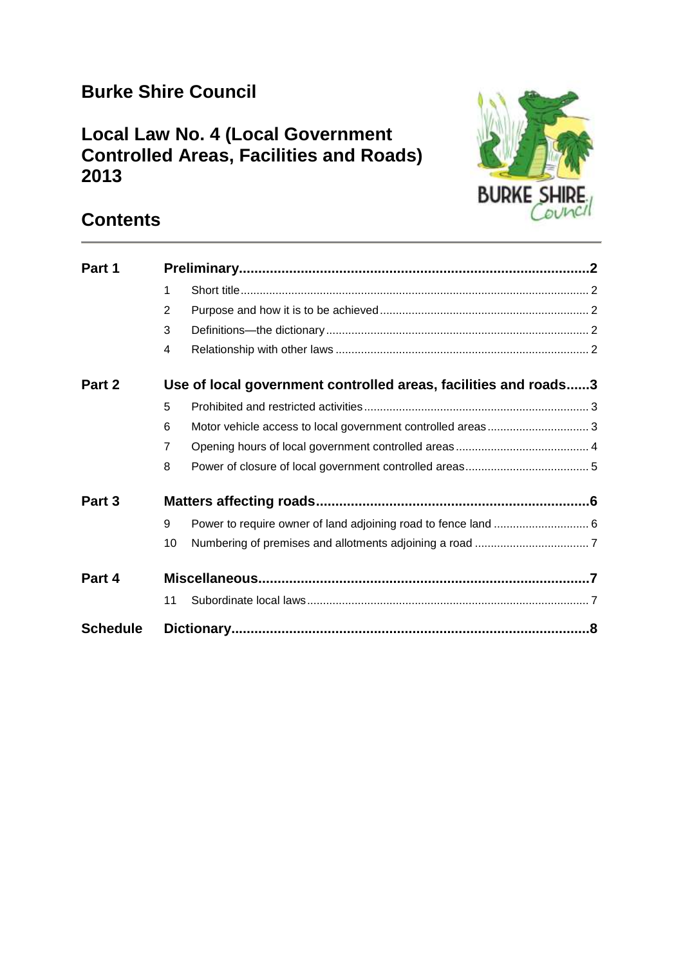# **Burke Shire Council**

# **Local Law No. 4 (Local Government Controlled Areas, Facilities and Roads) 2013**



# **Contents**

| Part 1          |                                                                 |                                                                |  |
|-----------------|-----------------------------------------------------------------|----------------------------------------------------------------|--|
|                 | 1                                                               |                                                                |  |
|                 | 2                                                               |                                                                |  |
|                 | 3                                                               |                                                                |  |
|                 | 4                                                               |                                                                |  |
| Part 2          | Use of local government controlled areas, facilities and roads3 |                                                                |  |
|                 | 5                                                               |                                                                |  |
|                 | 6                                                               |                                                                |  |
|                 | $\overline{7}$                                                  |                                                                |  |
|                 | 8                                                               |                                                                |  |
| Part 3          |                                                                 |                                                                |  |
|                 | 9                                                               | Power to require owner of land adjoining road to fence land  6 |  |
|                 | 10                                                              |                                                                |  |
| Part 4          |                                                                 |                                                                |  |
|                 | 11                                                              |                                                                |  |
| <b>Schedule</b> |                                                                 |                                                                |  |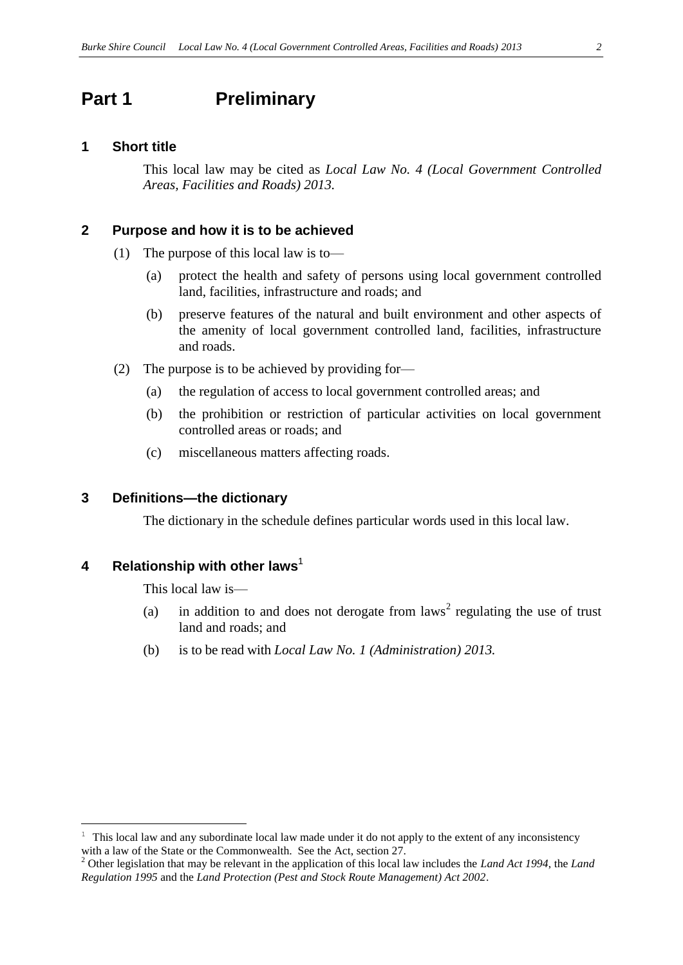## <span id="page-1-0"></span>**Part 1 Preliminary**

#### <span id="page-1-1"></span>**1 Short title**

This local law may be cited as *Local Law No. 4 (Local Government Controlled Areas, Facilities and Roads) 2013.*

#### <span id="page-1-2"></span>**2 Purpose and how it is to be achieved**

- (1) The purpose of this local law is to—
	- (a) protect the health and safety of persons using local government controlled land, facilities, infrastructure and roads; and
	- (b) preserve features of the natural and built environment and other aspects of the amenity of local government controlled land, facilities, infrastructure and roads.
- (2) The purpose is to be achieved by providing for—
	- (a) the regulation of access to local government controlled areas; and
	- (b) the prohibition or restriction of particular activities on local government controlled areas or roads; and
	- (c) miscellaneous matters affecting roads.

#### <span id="page-1-3"></span>**3 Definitions—the dictionary**

The dictionary in the schedule defines particular words used in this local law.

#### <span id="page-1-4"></span>**4 Relationship with other laws**<sup>1</sup>

 $\overline{a}$ 

This local law is—

- (a) in addition to and does not derogate from  $laws<sup>2</sup>$  regulating the use of trust land and roads; and
- (b) is to be read with *Local Law No. 1 (Administration) 2013.*

<sup>1</sup> This local law and any subordinate local law made under it do not apply to the extent of any inconsistency with a law of the State or the Commonwealth. See the Act, section 27.

<sup>2</sup> Other legislation that may be relevant in the application of this local law includes the *Land Act 1994*, the *Land Regulation 1995* and the *Land Protection (Pest and Stock Route Management) Act 2002*.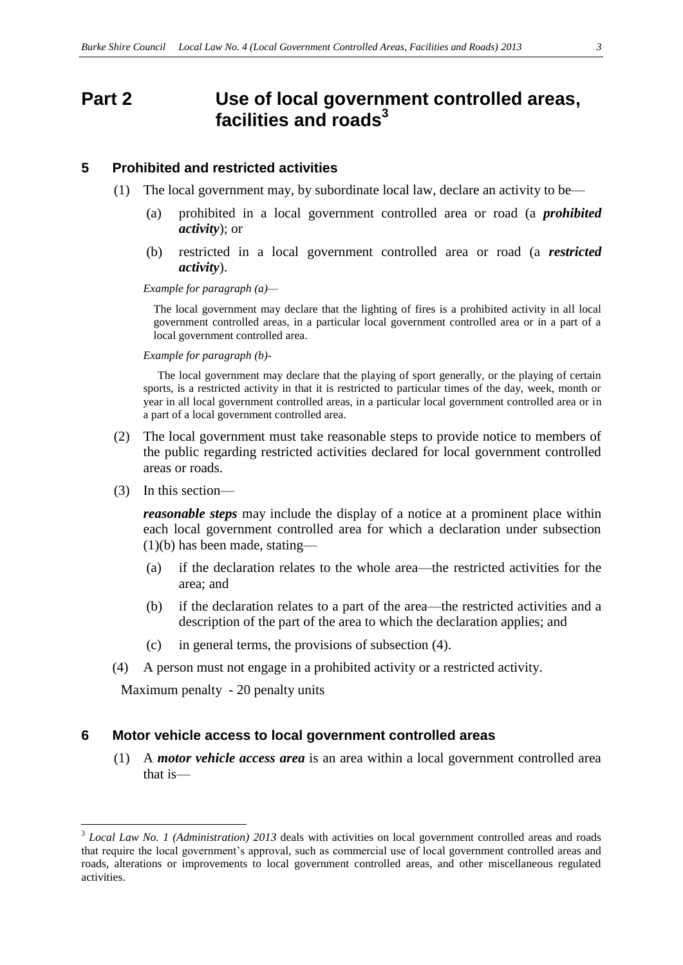## <span id="page-2-0"></span>**Part 2 Use of local government controlled areas, facilities and roads<sup>3</sup>**

#### <span id="page-2-1"></span>**5 Prohibited and restricted activities**

- (1) The local government may, by subordinate local law, declare an activity to be—
	- (a) prohibited in a local government controlled area or road (a *prohibited activity*); or
	- (b) restricted in a local government controlled area or road (a *restricted activity*).

*Example for paragraph (a)—*

The local government may declare that the lighting of fires is a prohibited activity in all local government controlled areas, in a particular local government controlled area or in a part of a local government controlled area.

*Example for paragraph (b)-*

 The local government may declare that the playing of sport generally, or the playing of certain sports, is a restricted activity in that it is restricted to particular times of the day, week, month or year in all local government controlled areas, in a particular local government controlled area or in a part of a local government controlled area.

- (2) The local government must take reasonable steps to provide notice to members of the public regarding restricted activities declared for local government controlled areas or roads.
- (3) In this section—

 $\overline{a}$ 

*reasonable steps* may include the display of a notice at a prominent place within each local government controlled area for which a declaration under subsection  $(1)(b)$  has been made, stating—

- (a) if the declaration relates to the whole area—the restricted activities for the area; and
- (b) if the declaration relates to a part of the area—the restricted activities and a description of the part of the area to which the declaration applies; and
- (c) in general terms, the provisions of subsection (4).
- (4) A person must not engage in a prohibited activity or a restricted activity.

Maximum penalty - 20 penalty units

#### <span id="page-2-2"></span>**6 Motor vehicle access to local government controlled areas**

(1) A *motor vehicle access area* is an area within a local government controlled area that is—

<sup>&</sup>lt;sup>3</sup> Local Law No. 1 (Administration) 2013 deals with activities on local government controlled areas and roads that require the local government's approval, such as commercial use of local government controlled areas and roads, alterations or improvements to local government controlled areas, and other miscellaneous regulated activities.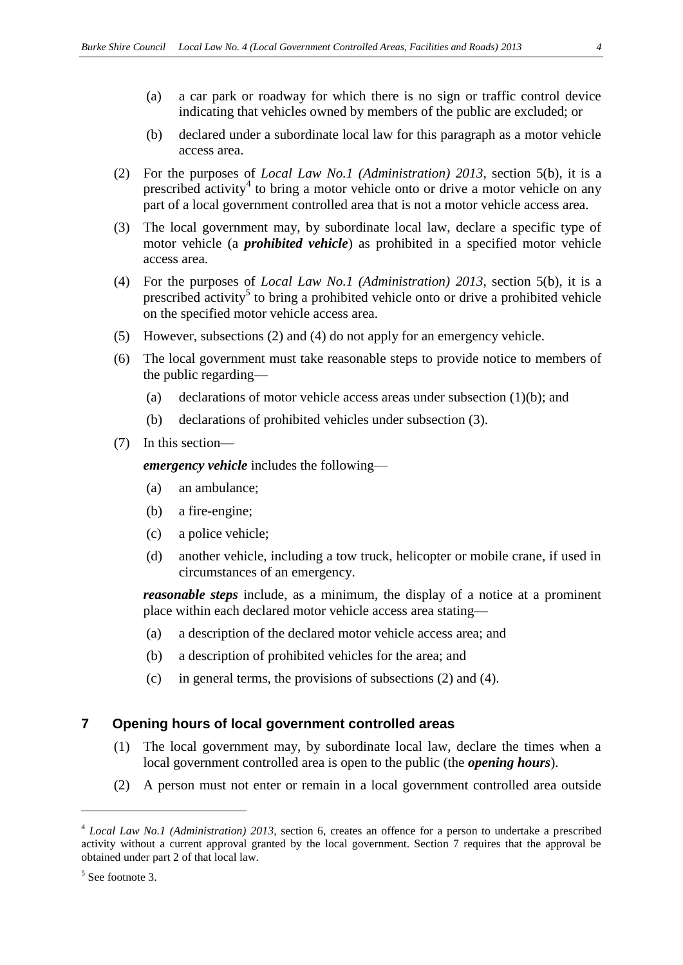- (a) a car park or roadway for which there is no sign or traffic control device indicating that vehicles owned by members of the public are excluded; or
- (b) declared under a subordinate local law for this paragraph as a motor vehicle access area.
- (2) For the purposes of *Local Law No.1 (Administration) 2013*, section 5(b), it is a prescribed activity<sup>4</sup> to bring a motor vehicle onto or drive a motor vehicle on any part of a local government controlled area that is not a motor vehicle access area.
- (3) The local government may, by subordinate local law, declare a specific type of motor vehicle (a *prohibited vehicle*) as prohibited in a specified motor vehicle access area.
- (4) For the purposes of *Local Law No.1 (Administration) 2013*, section 5(b), it is a prescribed activity<sup>5</sup> to bring a prohibited vehicle onto or drive a prohibited vehicle on the specified motor vehicle access area.
- (5) However, subsections (2) and (4) do not apply for an emergency vehicle.
- (6) The local government must take reasonable steps to provide notice to members of the public regarding—
	- (a) declarations of motor vehicle access areas under subsection (1)(b); and
	- (b) declarations of prohibited vehicles under subsection (3).
- (7) In this section—

*emergency vehicle* includes the following—

- (a) an ambulance;
- (b) a fire-engine;
- (c) a police vehicle;
- (d) another vehicle, including a tow truck, helicopter or mobile crane, if used in circumstances of an emergency.

*reasonable steps* include, as a minimum, the display of a notice at a prominent place within each declared motor vehicle access area stating—

- (a) a description of the declared motor vehicle access area; and
- (b) a description of prohibited vehicles for the area; and
- (c) in general terms, the provisions of subsections (2) and (4).

#### <span id="page-3-0"></span>**7 Opening hours of local government controlled areas**

- (1) The local government may, by subordinate local law, declare the times when a local government controlled area is open to the public (the *opening hours*).
- (2) A person must not enter or remain in a local government controlled area outside

 $\overline{a}$ 

<sup>4</sup> *Local Law No.1 (Administration) 2013*, section 6, creates an offence for a person to undertake a prescribed activity without a current approval granted by the local government. Section 7 requires that the approval be obtained under part 2 of that local law.

<sup>5</sup> See footnote 3.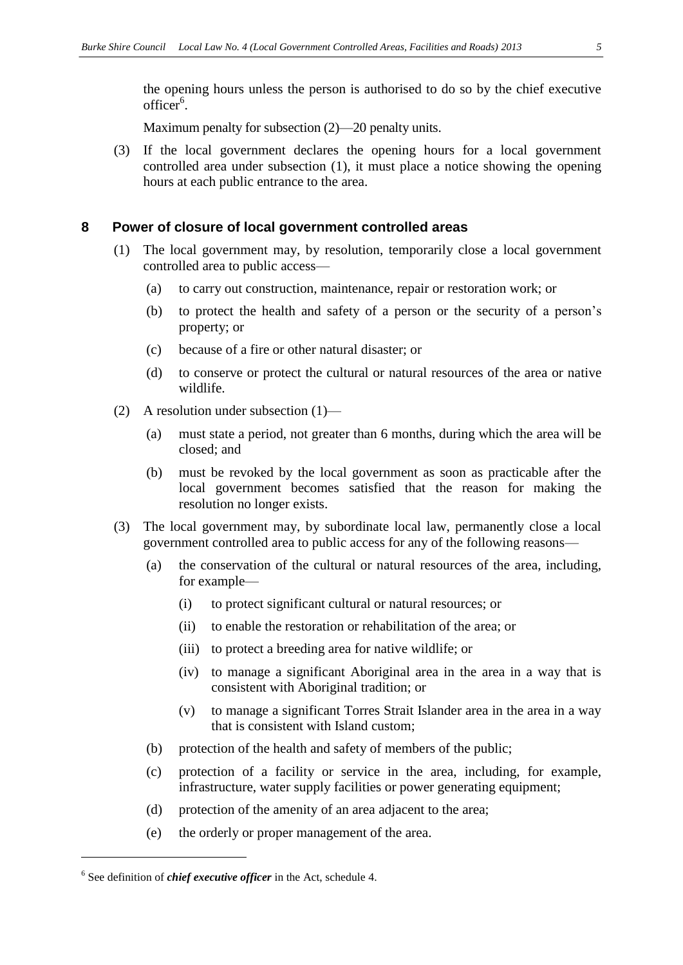the opening hours unless the person is authorised to do so by the chief executive officer<sup>6</sup>.

Maximum penalty for subsection (2)—20 penalty units.

(3) If the local government declares the opening hours for a local government controlled area under subsection (1), it must place a notice showing the opening hours at each public entrance to the area.

#### <span id="page-4-0"></span>**8 Power of closure of local government controlled areas**

- (1) The local government may, by resolution, temporarily close a local government controlled area to public access—
	- (a) to carry out construction, maintenance, repair or restoration work; or
	- (b) to protect the health and safety of a person or the security of a person's property; or
	- (c) because of a fire or other natural disaster; or
	- (d) to conserve or protect the cultural or natural resources of the area or native wildlife.
- (2) A resolution under subsection (1)—
	- (a) must state a period, not greater than 6 months, during which the area will be closed; and
	- (b) must be revoked by the local government as soon as practicable after the local government becomes satisfied that the reason for making the resolution no longer exists.
- (3) The local government may, by subordinate local law, permanently close a local government controlled area to public access for any of the following reasons—
	- (a) the conservation of the cultural or natural resources of the area, including, for example—
		- (i) to protect significant cultural or natural resources; or
		- (ii) to enable the restoration or rehabilitation of the area; or
		- (iii) to protect a breeding area for native wildlife; or
		- (iv) to manage a significant Aboriginal area in the area in a way that is consistent with Aboriginal tradition; or
		- (v) to manage a significant Torres Strait Islander area in the area in a way that is consistent with Island custom;
	- (b) protection of the health and safety of members of the public;
	- (c) protection of a facility or service in the area, including, for example, infrastructure, water supply facilities or power generating equipment;
	- (d) protection of the amenity of an area adjacent to the area;
	- (e) the orderly or proper management of the area.

 $\overline{a}$ 

<sup>6</sup> See definition of *chief executive officer* in the Act, schedule 4.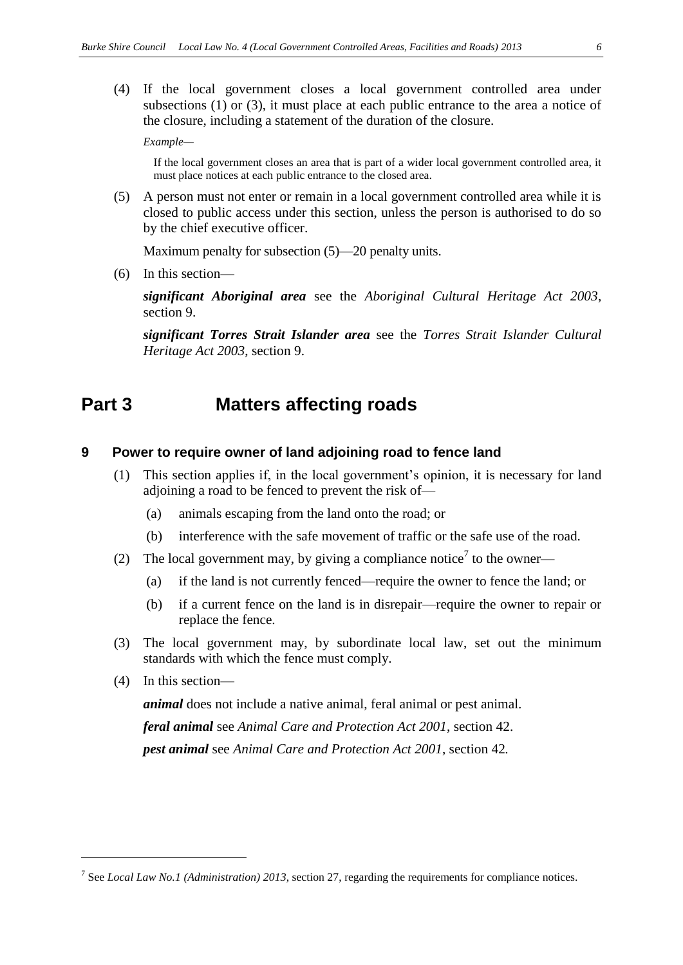(4) If the local government closes a local government controlled area under subsections (1) or (3), it must place at each public entrance to the area a notice of the closure, including a statement of the duration of the closure.

*Example—*

If the local government closes an area that is part of a wider local government controlled area, it must place notices at each public entrance to the closed area.

(5) A person must not enter or remain in a local government controlled area while it is closed to public access under this section, unless the person is authorised to do so by the chief executive officer.

Maximum penalty for subsection (5)—20 penalty units.

(6) In this section—

*significant Aboriginal area* see the *Aboriginal Cultural Heritage Act 2003*, section 9.

*significant Torres Strait Islander area* see the *Torres Strait Islander Cultural Heritage Act 2003*, section 9.

## <span id="page-5-0"></span>**Part 3 Matters affecting roads**

#### <span id="page-5-1"></span>**9 Power to require owner of land adjoining road to fence land**

- (1) This section applies if, in the local government's opinion, it is necessary for land adjoining a road to be fenced to prevent the risk of—
	- (a) animals escaping from the land onto the road; or
	- (b) interference with the safe movement of traffic or the safe use of the road.
- (2) The local government may, by giving a compliance notice<sup>7</sup> to the owner—
	- (a) if the land is not currently fenced—require the owner to fence the land; or
	- (b) if a current fence on the land is in disrepair—require the owner to repair or replace the fence.
- (3) The local government may, by subordinate local law, set out the minimum standards with which the fence must comply.
- (4) In this section—

 $\overline{a}$ 

*animal* does not include a native animal, feral animal or pest animal.

*feral animal* see *Animal Care and Protection Act 2001*, section 42. *pest animal* see *Animal Care and Protection Act 2001*, section 42*.*

<sup>7</sup> See *Local Law No.1 (Administration) 2013*, section 27, regarding the requirements for compliance notices.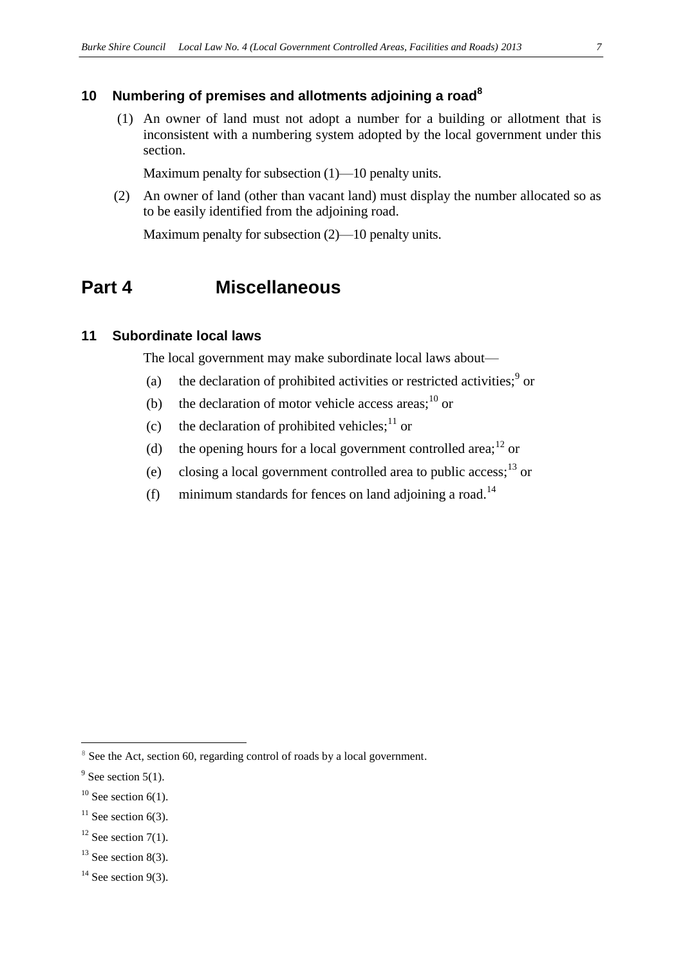## <span id="page-6-0"></span>**10 Numbering of premises and allotments adjoining a road<sup>8</sup>**

(1)An owner of land must not adopt a number for a building or allotment that is inconsistent with a numbering system adopted by the local government under this section.

Maximum penalty for subsection  $(1)$ —10 penalty units.

(2) An owner of land (other than vacant land) must display the number allocated so as to be easily identified from the adjoining road.

Maximum penalty for subsection (2)—10 penalty units.

## <span id="page-6-1"></span>**Part 4 Miscellaneous**

### <span id="page-6-2"></span>**11 Subordinate local laws**

The local government may make subordinate local laws about—

- (a) the declaration of prohibited activities or restricted activities; $9$  or
- (b) the declaration of motor vehicle access areas; $^{10}$  or
- (c) the declaration of prohibited vehicles;  $11$  or
- (d) the opening hours for a local government controlled area;<sup>12</sup> or
- (e) closing a local government controlled area to public access;  $^{13}$  or
- (f) minimum standards for fences on land adjoining a road.<sup>14</sup>

 $\overline{a}$ 

<sup>&</sup>lt;sup>8</sup> See the Act, section 60, regarding control of roads by a local government.

 $9^9$  See section 5(1).

 $10$  See section 6(1).

 $11$  See section 6(3).

 $12$  See section 7(1).

 $13$  See section 8(3).

 $14$  See section 9(3).